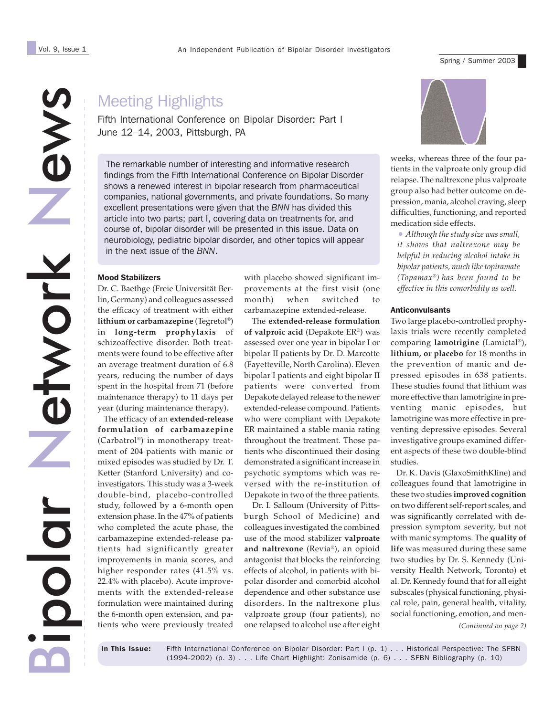News

Spring / Summer 2003

# Meeting Highlights

Fifth International Conference on Bipolar Disorder: Part I June 12–14, 2003, Pittsburgh, PA

The remarkable number of interesting and informative research findings from the Fifth International Conference on Bipolar Disorder shows a renewed interest in bipolar research from pharmaceutical companies, national governments, and private foundations. So many excellent presentations were given that the *BNN* has divided this article into two parts; part I, covering data on treatments for, and course of, bipolar disorder will be presented in this issue. Data on neurobiology, pediatric bipolar disorder, and other topics will appear in the next issue of the *BNN*.

## Mood Stabilizers

Dr. C. Baethge (Freie Universität Berlin, Germany) and colleagues assessed the efficacy of treatment with either **lithium or carbamazepine** (Tegretol®) in **long-term prophylaxis** of schizoaffective disorder. Both treatments were found to be effective after an average treatment duration of 6.8 years, reducing the number of days spent in the hospital from 71 (before maintenance therapy) to 11 days per year (during maintenance therapy).

 The efficacy of an **extended-release formulation of carbamazepine** (Carbatrol®) in monotherapy treatment of 204 patients with manic or mixed episodes was studied by Dr. T. Ketter (Stanford University) and coinvestigators. This study was a 3-week double-bind, placebo-controlled study, followed by a 6-month open extension phase. In the 47% of patients who completed the acute phase, the carbamazepine extended-release patients had significantly greater improvements in mania scores, and higher responder rates (41.5% vs. 22.4% with placebo). Acute improvements with the extended-release formulation were maintained during the 6-month open extension, and patients who were previously treated

with placebo showed significant improvements at the first visit (one month) when switched to carbamazepine extended-release.

 The **extended-release formulation of valproic acid** (Depakote ER®) was assessed over one year in bipolar I or bipolar II patients by Dr. D. Marcotte (Fayetteville, North Carolina). Eleven bipolar I patients and eight bipolar II patients were converted from Depakote delayed release to the newer extended-release compound. Patients who were compliant with Depakote ER maintained a stable mania rating throughout the treatment. Those patients who discontinued their dosing demonstrated a significant increase in psychotic symptoms which was reversed with the re-institution of Depakote in two of the three patients.

 Dr. I. Salloum (University of Pittsburgh School of Medicine) and colleagues investigated the combined use of the mood stabilizer **valproate and naltrexone** (Revia®), an opioid antagonist that blocks the reinforcing effects of alcohol, in patients with bipolar disorder and comorbid alcohol dependence and other substance use disorders. In the naltrexone plus valproate group (four patients), no one relapsed to alcohol use after eight



weeks, whereas three of the four patients in the valproate only group did relapse. The naltrexone plus valproate group also had better outcome on depression, mania, alcohol craving, sleep difficulties, functioning, and reported medication side effects.

• *Although the study size was small, it shows that naltrexone may be helpful in reducing alcohol intake in bipolar patients, much like topiramate (Topamax®) has been found to be effective in this comorbidity as well.*

#### Anticonvulsants

Two large placebo-controlled prophylaxis trials were recently completed comparing **lamotrigine** (Lamictal®), **lithium, or placebo** for 18 months in the prevention of manic and depressed episodes in 638 patients. These studies found that lithium was more effective than lamotrigine in preventing manic episodes, but lamotrigine was more effective in preventing depressive episodes. Several investigative groups examined different aspects of these two double-blind studies.

 Dr. K. Davis (GlaxoSmithKline) and colleagues found that lamotrigine in these two studies **improved cognition** on two different self-report scales, and was significantly correlated with depression symptom severity, but not with manic symptoms. The **quality of life** was measured during these same two studies by Dr. S. Kennedy (University Health Network, Toronto) et al. Dr. Kennedy found that for all eight subscales (physical functioning, physical role, pain, general health, vitality, social functioning, emotion, and men-

*(Continued on page 2)*

Bipolar

Network

etwork

In This Issue: Fifth International Conference on Bipolar Disorder: Part I (p. 1) . . . Historical Perspective: The SFBN (1994-2002) (p. 3) . . . Life Chart Highlight: Zonisamide (p. 6) . . . SFBN Bibliography (p. 10)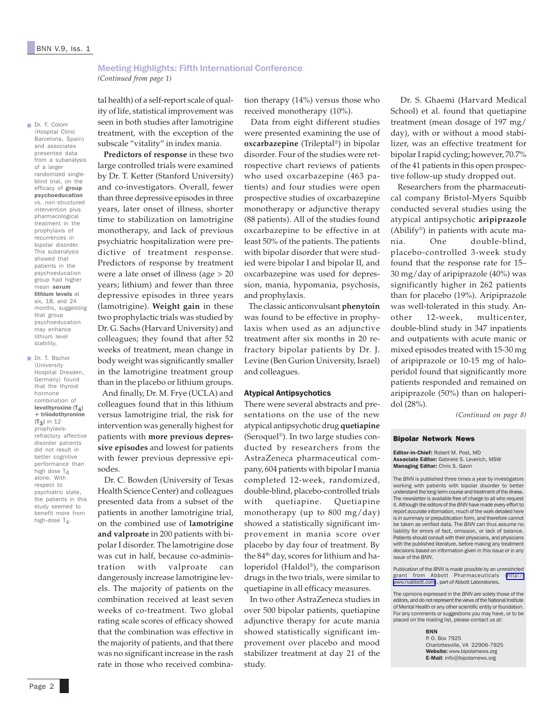■ Dr. F. Colom (Hospital Clinic

and associates presented data from a subanalysis of a larger randomized singleblind trial, on the efficacy of group psychoeducation vs. non-structured intervention plus pharmacological treatment in the prophylaxis of recurrences in bipolar disorder. This subanalysis showed that patients in the psychoeducation group had higher mean serum lithium levels at six, 18, and 24 months, suggesting that group psychoeducation may enhance lithium level stability. ■ Dr. T. Bschor (University Hospital Dresden, Germany) found that the thyroid hormone combination of levothyroxine  $(T_4)$ + triiodothyronine (T3) in 12 prophylaxisrefractory affective disorder patients did not result in better cognitive performance than high dose  $T_{\Delta}$ alone. With respect to psychiatric state, the patients in this study seemed to benefit more from high-dose  $T_A$ .

#### Meeting Highlights: Fifth International Conference *(Continued from page 1)*

tal health) of a self-report scale of quality of life, statistical improvement was seen in both studies after lamotrigine treatment, with the exception of the subscale "vitality" in index mania. Barcelona, Spain)

 **Predictors of response** in these two large controlled trials were examined by Dr. T. Ketter (Stanford University) and co-investigators. Overall, fewer than three depressive episodes in three years, later onset of illness, shorter time to stabilization on lamotrigine monotherapy, and lack of previous psychiatric hospitalization were predictive of treatment response. Predictors of response by treatment were a late onset of illness (age > 20 years; lithium) and fewer than three depressive episodes in three years (lamotrigine). **Weight gain** in these two prophylactic trials was studied by Dr. G. Sachs (Harvard University) and colleagues; they found that after 52 weeks of treatment, mean change in body weight was significantly smaller in the lamotrigine treatment group than in the placebo or lithium groups.

 And finally, Dr. M. Frye (UCLA) and colleagues found that in this lithium versus lamotrigine trial, the risk for intervention was generally highest for patients with **more previous depressive episodes** and lowest for patients with fewer previous depressive episodes.

 Dr. C. Bowden (University of Texas Health Science Center) and colleagues presented data from a subset of the patients in another lamotrigine trial, on the combined use of **lamotrigine and valproate** in 200 patients with bipolar I disorder. The lamotrigine dose was cut in half, because co-administration with valproate can dangerously increase lamotrigine levels. The majority of patients on the combination received at least seven weeks of co-treatment. Two global rating scale scores of efficacy showed that the combination was effective in the majority of patients, and that there was no significant increase in the rash rate in those who received combina-

tion therapy (14%) versus those who received monotherapy (10%).

 Data from eight different studies were presented examining the use of **oxcarbazepine** (Trileptal®) in bipolar disorder. Four of the studies were retrospective chart reviews of patients who used oxcarbazepine (463 patients) and four studies were open prospective studies of oxcarbazepine monotherapy or adjunctive therapy (88 patients). All of the studies found oxcarbazepine to be effective in at least 50% of the patients. The patients with bipolar disorder that were studied were bipolar I and bipolar II, and oxcarbazepine was used for depression, mania, hypomania, psychosis, and prophylaxis.

 The classic anticonvulsant **phenytoin** was found to be effective in prophylaxis when used as an adjunctive treatment after six months in 20 refractory bipolar patients by Dr. J. Levine (Ben Gurion University, Israel) and colleagues.

#### Atypical Antipsychotics

There were several abstracts and presentations on the use of the new atypical antipsychotic drug **quetiapine** (Seroquel®). In two large studies conducted by researchers from the AstraZeneca pharmaceutical company, 604 patients with bipolar I mania completed 12-week, randomized, double-blind, placebo-controlled trials with quetiapine. Quetiapine monotherapy (up to 800 mg/day) showed a statistically significant improvement in mania score over placebo by day four of treatment. By the 84<sup>th</sup> day, scores for lithium and haloperidol (Haldol®), the comparison drugs in the two trials, were similar to quetiapine in all efficacy measures.

 In two other AstraZeneca studies in over 500 bipolar patients, quetiapine adjunctive therapy for acute mania showed statistically significant improvement over placebo and mood stabilizer treatment at day 21 of the study.

 Dr. S. Ghaemi (Harvard Medical School) et al. found that quetiapine treatment (mean dosage of 197 mg/ day), with or without a mood stabilizer, was an effective treatment for bipolar I rapid cycling; however, 70.7% of the 41 patients in this open prospective follow-up study dropped out.

 Researchers from the pharmaceutical company Bristol-Myers Squibb conducted several studies using the atypical antipsychotic **aripiprazole** (Abilify<sup>®</sup>) in patients with acute mania. One double-blind, placebo-controlled 3-week study found that the response rate for 15– 30 mg/day of aripiprazole (40%) was significantly higher in 262 patients than for placebo (19%). Aripiprazole was well-tolerated in this study. Another 12-week, multicenter, double-blind study in 347 inpatients and outpatients with acute manic or mixed episodes treated with 15-30 mg of aripiprazole or 10-15 mg of haloperidol found that significantly more patients responded and remained on aripiprazole (50%) than on haloperidol (28%).

*(Continued on page 8)*

#### Bipolar Network News

Editor-in-Chief: Robert M. Post, MD Associate Editor: Gabriele S. Leverich, MSW Managing Editor: Chris S. Gavin

The *BNN* is published three times a year by investigators working with patients with bipolar disorder to better understand the long-term course and treatment of the illness. The newsletter is available free of charge to all who request it. Although the editors of the *BNN* have made every effort to report accurate information, much of the work detailed here is in summary or prepublication form, and therefore cannot be taken as verified data. The *BNN* can thus assume no liability for errors of fact, omission, or lack of balance. Patients should consult with their physicians, and physicians with the published literature, before making any treatment decisions based on information given in this issue or in any issue of the *BNN*.

Publication of the *BNN* is made possible by an unrestricted grant from Abbott Pharmaceuticals [\(http://](http://www.rxabbott.com) [www.rxabbott.com\)](http://www.rxabbott.com), part of Abbott Laboratories.

The opinions expressed in the *BNN* are solely those of the editors, and do not represent the views of the National Institute of Mental Health or any other scientific entity or foundation. For any comments or suggestions you may have, or to be placed on the mailing list, please contact us at:

> BNN P. O. Box 7925 Charlottesville, VA 22906-7925 Website: www.bipolarnews.org E-Mail: info@bipolarnews.org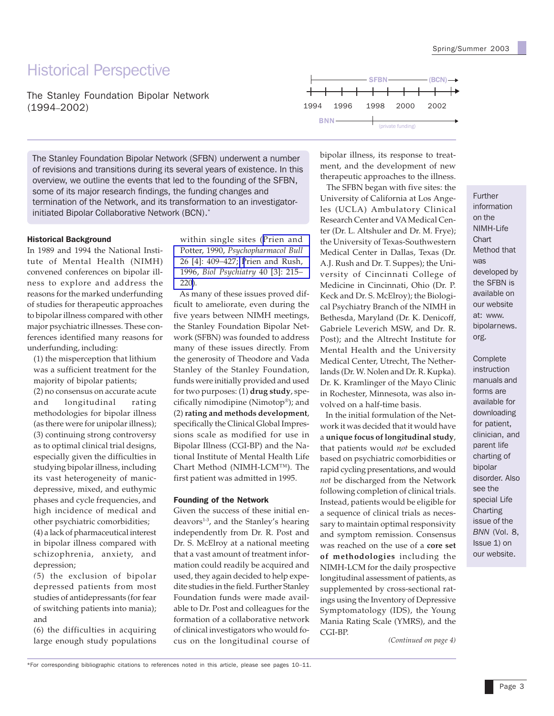# Historical Perspective

The Stanley Foundation Bipolar Network (1994–2002)

The Stanley Foundation Bipolar Network (SFBN) underwent a number of revisions and transitions during its several years of existence. In this overview, we outline the events that led to the founding of the SFBN, some of its major research findings, the funding changes and termination of the Network, and its transformation to an investigatorinitiated Bipolar Collaborative Network (BCN).\*

#### Historical Background

In 1989 and 1994 the National Institute of Mental Health (NIMH) convened conferences on bipolar illness to explore and address the reasons for the marked underfunding of studies for therapeutic approaches to bipolar illness compared with other major psychiatric illnesses. These conferences identified many reasons for underfunding, including:

(1) the misperception that lithium was a sufficient treatment for the majority of bipolar patients;

(2) no consensus on accurate acute and longitudinal rating methodologies for bipolar illness (as there were for unipolar illness); (3) continuing strong controversy as to optimal clinical trial designs, especially given the difficulties in studying bipolar illness, including its vast heterogeneity of manicdepressive, mixed, and euthymic phases and cycle frequencies, and high incidence of medical and other psychiatric comorbidities; (4) a lack of pharmaceutical interest in bipolar illness compared with schizophrenia, anxiety, and depression;

*(*5) the exclusion of bipolar depressed patients from most studies of antidepressants (for fear of switching patients into mania); and

(6) the difficulties in acquiring large enough study populations within single sites ([Prien and](http://www.ncbi.nlm.nih.gov/entrez/query.fcgi?cmd=Retrieve&db=PubMed&list_uids=2087538&dopt=Abstract) Potter, 1990, *[Psychopharmacol Bull](http://www.ncbi.nlm.nih.gov/entrez/query.fcgi?cmd=Retrieve&db=PubMed&list_uids=2087538&dopt=Abstract)* [26 \[4\]: 409](http://www.ncbi.nlm.nih.gov/entrez/query.fcgi?cmd=Retrieve&db=PubMed&list_uids=2087538&dopt=Abstract)*–*427; [Prien and Rush,](http://www.ncbi.nlm.nih.gov/entrez/query.fcgi?cmd=Retrieve&db=PubMed&list_uids=8830955&dopt=Abstract) 1996, *[Biol Psychiatry](http://www.ncbi.nlm.nih.gov/entrez/query.fcgi?cmd=Retrieve&db=PubMed&list_uids=8830955&dopt=Abstract)* 40 [3]: 215*–* [220\)](http://www.ncbi.nlm.nih.gov/entrez/query.fcgi?cmd=Retrieve&db=PubMed&list_uids=8830955&dopt=Abstract).

 As many of these issues proved difficult to ameliorate, even during the five years between NIMH meetings, the Stanley Foundation Bipolar Network (SFBN) was founded to address many of these issues directly. From the generosity of Theodore and Vada Stanley of the Stanley Foundation, funds were initially provided and used for two purposes: (1) **drug study**, specifically nimodipine (Nimotop®); and (2) **rating and methods development**, specifically the Clinical Global Impressions scale as modified for use in Bipolar Illness (CGI-BP) and the National Institute of Mental Health Life Chart Method (NIMH-LCM™). The first patient was admitted in 1995.

#### Founding of the Network

Given the success of these initial en $deavors<sup>1-3</sup>$ , and the Stanley's hearing independently from Dr. R. Post and Dr. S. McElroy at a national meeting that a vast amount of treatment information could readily be acquired and used, they again decided to help expedite studies in the field. Further Stanley Foundation funds were made available to Dr. Post and colleagues for the formation of a collaborative network of clinical investigators who would focus on the longitudinal course of



bipolar illness, its response to treatment, and the development of new therapeutic approaches to the illness.

 The SFBN began with five sites: the University of California at Los Angeles (UCLA) Ambulatory Clinical Research Center and VA Medical Center (Dr. L. Altshuler and Dr. M. Frye); the University of Texas-Southwestern Medical Center in Dallas, Texas (Dr. A.J. Rush and Dr. T. Suppes); the University of Cincinnati College of Medicine in Cincinnati, Ohio (Dr. P. Keck and Dr. S. McElroy); the Biological Psychiatry Branch of the NIMH in Bethesda, Maryland (Dr. K. Denicoff, Gabriele Leverich MSW, and Dr. R. Post); and the Altrecht Institute for Mental Health and the University Medical Center, Utrecht, The Netherlands (Dr. W. Nolen and Dr. R. Kupka). Dr. K. Kramlinger of the Mayo Clinic in Rochester, Minnesota, was also involved on a half-time basis.

 In the initial formulation of the Network it was decided that it would have a **unique focus of longitudinal study**, that patients would *not* be excluded based on psychiatric comorbidities or rapid cycling presentations, and would *not* be discharged from the Network following completion of clinical trials. Instead, patients would be eligible for a sequence of clinical trials as necessary to maintain optimal responsivity and symptom remission. Consensus was reached on the use of a **core set of methodologies** including the NIMH-LCM for the daily prospective longitudinal assessment of patients, as supplemented by cross-sectional ratings using the Inventory of Depressive Symptomatology (IDS), the Young Mania Rating Scale (YMRS), and the CGI-BP.

*(Continued on page 4)*

Further information on the NIMH-Life **Chart** Method that was developed by the SFBN is available on our website at: www. bipolarnews. org.

Complete instruction manuals and forms are available for downloading for patient, clinician, and parent life charting of bipolar disorder. Also see the special Life Charting issue of the *BNN* (Vol. 8, Issue 1) on our website.

\*For corresponding bibliographic citations to references noted in this article, please see pages 10–11.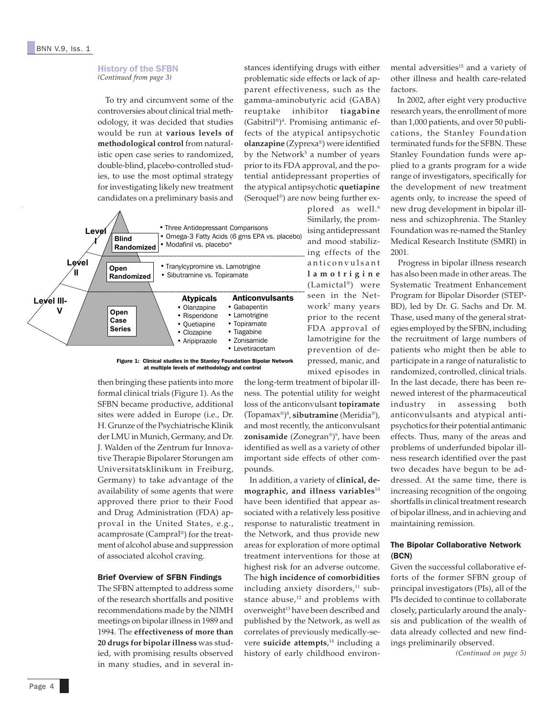#### History of the SFBN *(Continued from page 3)*

 To try and circumvent some of the controversies about clinical trial methodology, it was decided that studies would be run at **various levels of methodological control** from naturalistic open case series to randomized, double-blind, placebo-controlled studies, to use the most optimal strategy for investigating likely new treatment candidates on a preliminary basis and



Figure 1: Clinical studies in the Stanley Foundation Bipolar Network at multiple levels of methodology and control

then bringing these patients into more formal clinical trials (Figure 1). As the SFBN became productive, additional sites were added in Europe (i.e., Dr. H. Grunze of the Psychiatrische Klinik der LMU in Munich, Germany, and Dr. J. Walden of the Zentrum fur Innovative Therapie Bipolarer Storungen am Universitatsklinikum in Freiburg, Germany) to take advantage of the availability of some agents that were approved there prior to their Food and Drug Administration (FDA) approval in the United States, e.g., acamprosate (Campral®) for the treatment of alcohol abuse and suppression of associated alcohol craving.

## Brief Overview of SFBN Findings

The SFBN attempted to address some of the research shortfalls and positive recommendations made by the NIMH meetings on bipolar illness in 1989 and 1994. The **effectiveness of more than 20 drugs for bipolar illness** was studied, with promising results observed in many studies, and in several instances identifying drugs with either problematic side effects or lack of apparent effectiveness, such as the gamma-aminobutyric acid (GABA) reuptake inhibitor **tiagabine** (Gabitril®)4 . Promising antimanic effects of the atypical antipsychotic **olanzapine** (Zyprexa®) were identified by the Network<sup>5</sup> a number of years prior to its FDA approval, and the potential antidepressant properties of the atypical antipsychotic **quetiapine** (Seroquel®) are now being further ex-

plored as well.<sup>6</sup> Similarly, the promising antidepressant and mood stabilizing effects of the anticonvulsant **lamotrigine** (Lamictal®) were seen in the Network7 many years prior to the recent FDA approval of lamotrigine for the prevention of depressed, manic, and mixed episodes in

the long-term treatment of bipolar illness. The potential utility for weight loss of the anticonvulsant **topiramate** (Topamax®)8 , **sibutramine** (Meridia®), and most recently, the anticonvulsant **zonisamide** (Zonegran®)°, have been identified as well as a variety of other important side effects of other compounds.

 In addition, a variety of **clinical, demographic, and illness variables**<sup>10</sup> have been identified that appear associated with a relatively less positive response to naturalistic treatment in the Network, and thus provide new areas for exploration of more optimal treatment interventions for those at highest risk for an adverse outcome. The **high incidence of comorbidities** including anxiety disorders, $11$  substance abuse,<sup>12</sup> and problems with overweight<sup>13</sup> have been described and published by the Network, as well as correlates of previously medically-severe **suicide attempts**, 14 including a history of early childhood environ-

mental adversities<sup>15</sup> and a variety of other illness and health care-related factors.

 In 2002, after eight very productive research years, the enrollment of more than 1,000 patients, and over 50 publications, the Stanley Foundation terminated funds for the SFBN. These Stanley Foundation funds were applied to a grants program for a wide range of investigators, specifically for the development of new treatment agents only, to increase the speed of new drug development in bipolar illness and schizophrenia. The Stanley Foundation was re-named the Stanley Medical Research Institute (SMRI) in 2001.

 Progress in bipolar illness research has also been made in other areas. The Systematic Treatment Enhancement Program for Bipolar Disorder (STEP-BD), led by Dr. G. Sachs and Dr. M. Thase, used many of the general strategies employed by the SFBN, including the recruitment of large numbers of patients who might then be able to participate in a range of naturalistic to randomized, controlled, clinical trials. In the last decade, there has been renewed interest of the pharmaceutical industry in assessing both anticonvulsants and atypical antipsychotics for their potential antimanic effects. Thus, many of the areas and problems of underfunded bipolar illness research identified over the past two decades have begun to be addressed. At the same time, there is increasing recognition of the ongoing shortfalls in clinical treatment research of bipolar illness, and in achieving and maintaining remission.

## The Bipolar Collaborative Network (BCN)

Given the successful collaborative efforts of the former SFBN group of principal investigators (PIs), all of the PIs decided to continue to collaborate closely, particularly around the analysis and publication of the wealth of data already collected and new findings preliminarily observed.

*(Continued on page 5)*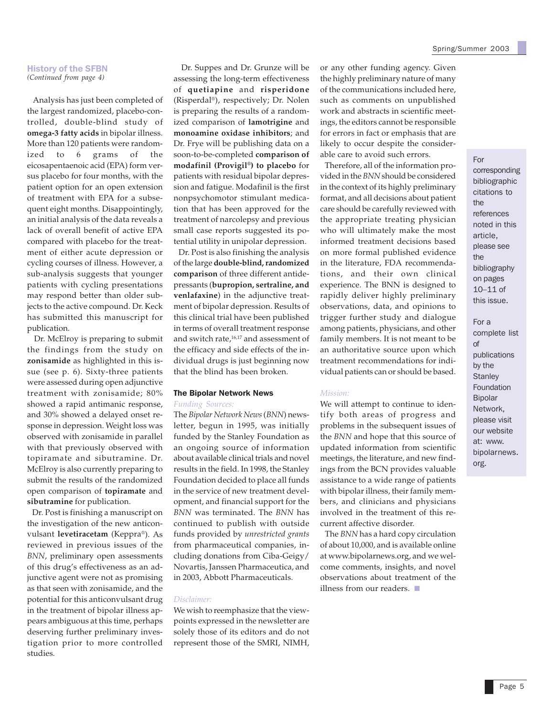#### History of the SFBN *(Continued from page 4)*

 Analysis has just been completed of the largest randomized, placebo-controlled, double-blind study of **omega-3 fatty acids** in bipolar illness. More than 120 patients were randomized to 6 grams of the eicosapentaenoic acid (EPA) form versus placebo for four months, with the patient option for an open extension of treatment with EPA for a subsequent eight months. Disappointingly, an initial analysis of the data reveals a lack of overall benefit of active EPA compared with placebo for the treatment of either acute depression or cycling courses of illness. However, a sub-analysis suggests that younger patients with cycling presentations may respond better than older subjects to the active compound. Dr. Keck has submitted this manuscript for publication.

 Dr. McElroy is preparing to submit the findings from the study on **zonisamide** as highlighted in this issue (see p. 6). Sixty-three patients were assessed during open adjunctive treatment with zonisamide; 80% showed a rapid antimanic response, and 30% showed a delayed onset response in depression. Weight loss was observed with zonisamide in parallel with that previously observed with topiramate and sibutramine. Dr. McElroy is also currently preparing to submit the results of the randomized open comparison of **topiramate** and **sibutramine** for publication.

 Dr. Post is finishing a manuscript on the investigation of the new anticonvulsant **levetiracetam** (Keppra®). As reviewed in previous issues of the *BNN*, preliminary open assessments of this drug's effectiveness as an adjunctive agent were not as promising as that seen with zonisamide, and the potential for this anticonvulsant drug in the treatment of bipolar illness appears ambiguous at this time, perhaps deserving further preliminary investigation prior to more controlled studies.

 Dr. Suppes and Dr. Grunze will be assessing the long-term effectiveness of **quetiapine** and **risperidone** (Risperdal®), respectively; Dr. Nolen is preparing the results of a randomized comparison of **lamotrigine** and **monoamine oxidase inhibitors**; and Dr. Frye will be publishing data on a soon-to-be-completed **comparison of modafinil (Provigil®) to placebo** for patients with residual bipolar depression and fatigue. Modafinil is the first nonpsychomotor stimulant medication that has been approved for the treatment of narcolepsy and previous small case reports suggested its potential utility in unipolar depression.

 Dr. Post is also finishing the analysis of the large **double-blind, randomized comparison** of three different antidepressants (**bupropion, sertraline, and venlafaxine**) in the adjunctive treatment of bipolar depression. Results of this clinical trial have been published in terms of overall treatment response and switch rate,<sup>16,17</sup> and assessment of the efficacy and side effects of the individual drugs is just beginning now that the blind has been broken.

#### The Bipolar Network News *Funding Sources:*

The *Bipolar Network News* (*BNN*) newsletter, begun in 1995, was initially funded by the Stanley Foundation as an ongoing source of information about available clinical trials and novel results in the field. In 1998, the Stanley Foundation decided to place all funds in the service of new treatment development, and financial support for the *BNN* was terminated. The *BNN* has continued to publish with outside funds provided by *unrestricted grants* from pharmaceutical companies, including donations from Ciba-Geigy/ Novartis, Janssen Pharmaceutica, and in 2003, Abbott Pharmaceuticals.

#### *Disclaimer:*

We wish to reemphasize that the viewpoints expressed in the newsletter are solely those of its editors and do not represent those of the SMRI, NIMH, or any other funding agency. Given the highly preliminary nature of many of the communications included here, such as comments on unpublished work and abstracts in scientific meetings, the editors cannot be responsible for errors in fact or emphasis that are likely to occur despite the considerable care to avoid such errors.

 Therefore, all of the information provided in the *BNN* should be considered in the context of its highly preliminary format, and all decisions about patient care should be carefully reviewed with the appropriate treating physician who will ultimately make the most informed treatment decisions based on more formal published evidence in the literature, FDA recommendations, and their own clinical experience. The BNN is designed to rapidly deliver highly preliminary observations, data, and opinions to trigger further study and dialogue among patients, physicians, and other family members. It is not meant to be an authoritative source upon which treatment recommendations for individual patients can or should be based.

#### *Mission:*

We will attempt to continue to identify both areas of progress and problems in the subsequent issues of the *BNN* and hope that this source of updated information from scientific meetings, the literature, and new findings from the BCN provides valuable assistance to a wide range of patients with bipolar illness, their family members, and clinicians and physicians involved in the treatment of this recurrent affective disorder.

 The *BNN* has a hard copy circulation of about 10,000, and is available online at www.bipolarnews.org, and we welcome comments, insights, and novel observations about treatment of the illness from our readers. ■

### For

corresponding bibliographic citations to the references noted in this article, please see the bibliography on pages 10–11 of this issue.

For a complete list of publications by the **Stanley** Foundation Bipolar Network, please visit our website at: www. bipolarnews. org.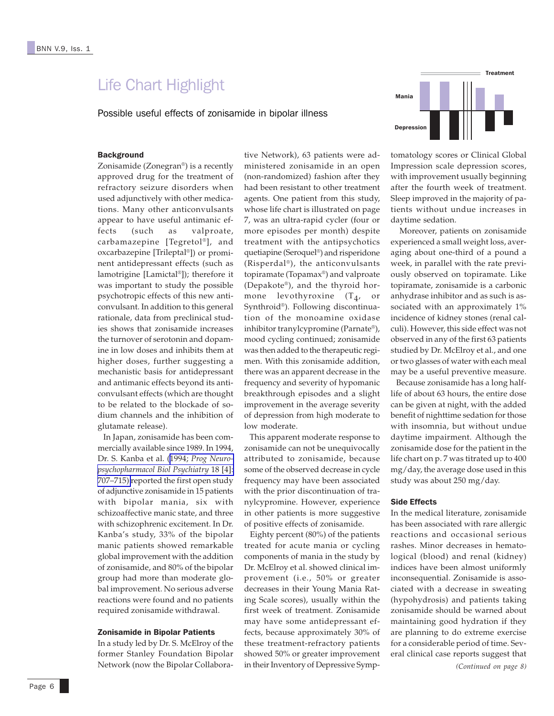## Life Chart Highlight

Possible useful effects of zonisamide in bipolar illness



## **Background**

Zonisamide (Zonegran®) is a recently approved drug for the treatment of refractory seizure disorders when used adjunctively with other medications. Many other anticonvulsants appear to have useful antimanic effects (such as valproate, carbamazepine [Tegretol®], and oxcarbazepine [Trileptal®]) or prominent antidepressant effects (such as lamotrigine [Lamictal®]); therefore it was important to study the possible psychotropic effects of this new anticonvulsant. In addition to this general rationale, data from preclinical studies shows that zonisamide increases the turnover of serotonin and dopamine in low doses and inhibits them at higher doses, further suggesting a mechanistic basis for antidepressant and antimanic effects beyond its anticonvulsant effects (which are thought to be related to the blockade of sodium channels and the inhibition of glutamate release).

 In Japan, zonisamide has been commercially available since 1989. In 1994, Dr. S. Kanba et al. (1994; *[Prog Neuro](http://www.ncbi.nlm.nih.gov/entrez/query.fcgi?cmd=Retrieve&db=PubMed&list_uids=7938561&dopt=Abstract)[psychopharmacol Biol Psychiatry](http://www.ncbi.nlm.nih.gov/entrez/query.fcgi?cmd=Retrieve&db=PubMed&list_uids=7938561&dopt=Abstract)* 18 [4]: [707–715\)](http://www.ncbi.nlm.nih.gov/entrez/query.fcgi?cmd=Retrieve&db=PubMed&list_uids=7938561&dopt=Abstract) reported the first open study of adjunctive zonisamide in 15 patients with bipolar mania, six with schizoaffective manic state, and three with schizophrenic excitement. In Dr. Kanba's study, 33% of the bipolar manic patients showed remarkable global improvement with the addition of zonisamide, and 80% of the bipolar group had more than moderate global improvement. No serious adverse reactions were found and no patients required zonisamide withdrawal.

#### Zonisamide in Bipolar Patients

In a study led by Dr. S. McElroy of the former Stanley Foundation Bipolar Network (now the Bipolar Collaborative Network), 63 patients were administered zonisamide in an open (non-randomized) fashion after they had been resistant to other treatment agents. One patient from this study, whose life chart is illustrated on page 7, was an ultra-rapid cycler (four or more episodes per month) despite treatment with the antipsychotics quetiapine (Seroquel®) and risperidone (Risperdal®), the anticonvulsants topiramate (Topamax®) and valproate (Depakote®), and the thyroid hormone levothyroxine  $(T_4, \text{ or})$ Synthroid®). Following discontinuation of the monoamine oxidase inhibitor tranylcypromine (Parnate®), mood cycling continued; zonisamide was then added to the therapeutic regimen. With this zonisamide addition, there was an apparent decrease in the frequency and severity of hypomanic breakthrough episodes and a slight improvement in the average severity of depression from high moderate to low moderate.

 This apparent moderate response to zonisamide can not be unequivocally attributed to zonisamide, because some of the observed decrease in cycle frequency may have been associated with the prior discontinuation of tranylcypromine. However, experience in other patients is more suggestive of positive effects of zonisamide.

 Eighty percent (80%) of the patients treated for acute mania or cycling components of mania in the study by Dr. McElroy et al. showed clinical improvement (i.e., 50% or greater decreases in their Young Mania Rating Scale scores), usually within the first week of treatment. Zonisamide may have some antidepressant effects, because approximately 30% of these treatment-refractory patients showed 50% or greater improvement in their Inventory of Depressive Symp-

tomatology scores or Clinical Global Impression scale depression scores, with improvement usually beginning after the fourth week of treatment. Sleep improved in the majority of patients without undue increases in daytime sedation.

 Moreover, patients on zonisamide experienced a small weight loss, averaging about one-third of a pound a week, in parallel with the rate previously observed on topiramate. Like topiramate, zonisamide is a carbonic anhydrase inhibitor and as such is associated with an approximately 1% incidence of kidney stones (renal calculi). However, this side effect was not observed in any of the first 63 patients studied by Dr. McElroy et al., and one or two glasses of water with each meal may be a useful preventive measure.

 Because zonisamide has a long halflife of about 63 hours, the entire dose can be given at night, with the added benefit of nighttime sedation for those with insomnia, but without undue daytime impairment. Although the zonisamide dose for the patient in the life chart on p. 7 was titrated up to 400 mg/day, the average dose used in this study was about 250 mg/day.

#### Side Effects

*(Continued on page 8)* In the medical literature, zonisamide has been associated with rare allergic reactions and occasional serious rashes. Minor decreases in hematological (blood) and renal (kidney) indices have been almost uniformly inconsequential. Zonisamide is associated with a decrease in sweating (hypohydrosis) and patients taking zonisamide should be warned about maintaining good hydration if they are planning to do extreme exercise for a considerable period of time. Several clinical case reports suggest that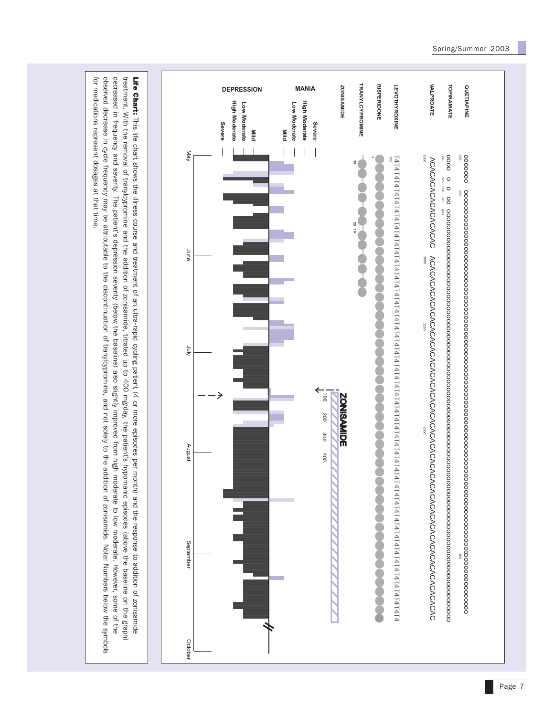

observed decrease in cycle frequency may be attributable to the discontinuation of tranylcypromine, and not solely to the addition of zonisamide. Note: Numbers below the symbols for medications represent dosages at that time. for medications represent dosages at that time.observed decrease in cycle frequency may be attribute to the discontinuation of transic and not solely and not solely and not solely and not solely and  $\frac{1}{2}$  and  $\frac{1}{2}$  and  $\frac{1}{2}$  and  $\frac{1}{2}$  and  $\frac{1}{2}$  and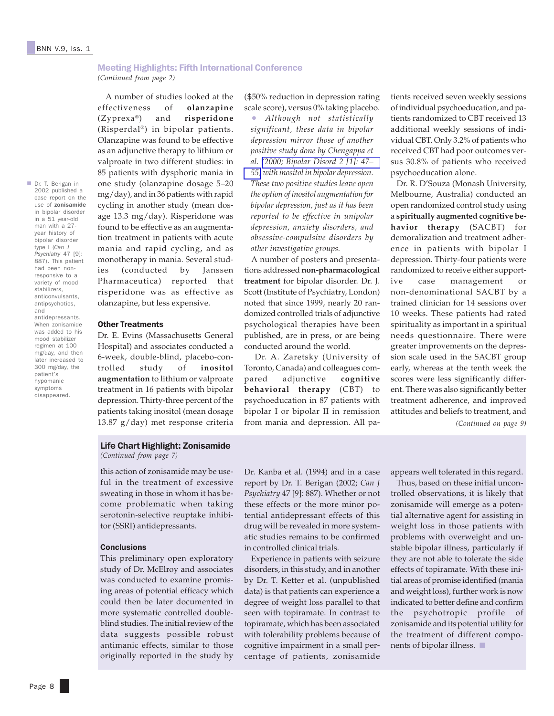## Meeting Highlights: Fifth International Conference

*(Continued from page 2)*

 A number of studies looked at the effectiveness of **olanzapine** (Zyprexa®) and **risperidone** (Risperdal®) in bipolar patients. Olanzapine was found to be effective as an adjunctive therapy to lithium or valproate in two different studies: in 85 patients with dysphoric mania in one study (olanzapine dosage 5–20 mg/day), and in 36 patients with rapid cycling in another study (mean dosage 13.3 mg/day). Risperidone was found to be effective as an augmentation treatment in patients with acute mania and rapid cycling, and as monotherapy in mania. Several studies (conducted by Janssen Pharmaceutica) reported that risperidone was as effective as olanzapine, but less expensive.

#### Other Treatments

Dr. E. Evins (Massachusetts General Hospital) and associates conducted a 6-week, double-blind, placebo-controlled study of **inositol augmentation** to lithium or valproate treatment in 16 patients with bipolar depression. Thirty-three percent of the patients taking inositol (mean dosage 13.87 g/day) met response criteria

(\$50% reduction in depression rating scale score), versus 0% taking placebo.

• *Although not statistically significant, these data in bipolar depression mirror those of another positive study done by Chengappa et al. [\(2000; Bipolar Disord 2 \[1\]: 47–](http://www.ncbi.nlm.nih.gov/entrez/query.fcgi?cmd=Retrieve&db=PubMed&list_uids=11254020&dopt=Abstract) [55\)](http://www.ncbi.nlm.nih.gov/entrez/query.fcgi?cmd=Retrieve&db=PubMed&list_uids=11254020&dopt=Abstract) with inositol in bipolar depression. These two positive studies leave open the option of inositol augmentation for bipolar depression, just as it has been reported to be effective in unipolar depression, anxiety disorders, and obsessive-compulsive disorders by other investigative groups.*

 A number of posters and presentations addressed **non-pharmacological treatment** for bipolar disorder. Dr. J. Scott (Institute of Psychiatry, London) noted that since 1999, nearly 20 randomized controlled trials of adjunctive psychological therapies have been published, are in press, or are being conducted around the world.

 Dr. A. Zaretsky (University of Toronto, Canada) and colleagues compared adjunctive **cognitive behavioral therapy** (CBT) to psychoeducation in 87 patients with bipolar I or bipolar II in remission from mania and depression. All pa-

tients received seven weekly sessions of individual psychoeducation, and patients randomized to CBT received 13 additional weekly sessions of individual CBT. Only 3.2% of patients who received CBT had poor outcomes versus 30.8% of patients who received psychoeducation alone.

 Dr. R. D'Souza (Monash University, Melbourne, Australia) conducted an open randomized control study using a **spiritually augmented cognitive behavior therapy** (SACBT) for demoralization and treatment adherence in patients with bipolar I depression. Thirty-four patients were randomized to receive either supportive case management non-denominational SACBT by a trained clinician for 14 sessions over 10 weeks. These patients had rated spirituality as important in a spiritual needs questionnaire. There were greater improvements on the depression scale used in the SACBT group early, whereas at the tenth week the scores were less significantly different. There was also significantly better treatment adherence, and improved attitudes and beliefs to treatment, and *(Continued on page 9)*

Life Chart Highlight: Zonisamide

*(Continued from page 7)*

this action of zonisamide may be useful in the treatment of excessive sweating in those in whom it has become problematic when taking serotonin-selective reuptake inhibitor (SSRI) antidepressants.

#### **Conclusions**

This preliminary open exploratory study of Dr. McElroy and associates was conducted to examine promising areas of potential efficacy which could then be later documented in more systematic controlled doubleblind studies. The initial review of the data suggests possible robust antimanic effects, similar to those originally reported in the study by

Dr. Kanba et al. (1994) and in a case report by Dr. T. Berigan (2002; *Can J Psychiatry* 47 [9]: 887). Whether or not these effects or the more minor potential antidepressant effects of this drug will be revealed in more systematic studies remains to be confirmed in controlled clinical trials.

 Experience in patients with seizure disorders, in this study, and in another by Dr. T. Ketter et al. (unpublished data) is that patients can experience a degree of weight loss parallel to that seen with topiramate. In contrast to topiramate, which has been associated with tolerability problems because of cognitive impairment in a small percentage of patients, zonisamide appears well tolerated in this regard.

 Thus, based on these initial uncontrolled observations, it is likely that zonisamide will emerge as a potential alternative agent for assisting in weight loss in those patients with problems with overweight and unstable bipolar illness, particularly if they are not able to tolerate the side effects of topiramate. With these initial areas of promise identified (mania and weight loss), further work is now indicated to better define and confirm the psychotropic profile of zonisamide and its potential utility for the treatment of different components of bipolar illness. ■

in bipolar disorder in a 51 year-old man with a 27 year history of bipolar disorder type I (*Can J Psychiatry* 47 [9]: 887). This patient had been nonresponsive to a variety of mood stabilizers, anticonvulsants, antipsychotics, and antidepressants. When zonisamide was added to his mood stabilizer regimen at 100 mg/day, and then later increased to 300 mg/day, the patient's hypomanic symptoms disappeared.

■ Dr. T. Berigan in 2002 published a case report on the use of zonisamide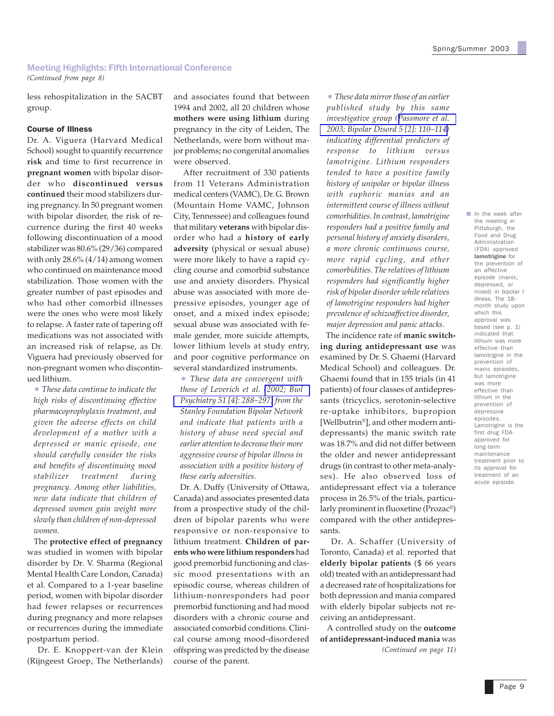## Meeting Highlights: Fifth International Conference

*(Continued from page 8)*

less rehospitalization in the SACBT group.

#### Course of Illness

Dr. A. Viguera (Harvard Medical School) sought to quantify recurrence **risk** and time to first recurrence in **pregnant women** with bipolar disorder who **discontinued versus continued** their mood stabilizers during pregnancy. In 50 pregnant women with bipolar disorder, the risk of recurrence during the first 40 weeks following discontinuation of a mood stabilizer was 80.6% (29/36) compared with only  $28.6\%$  (4/14) among women who continued on maintenance mood stabilization. Those women with the greater number of past episodes and who had other comorbid illnesses were the ones who were most likely to relapse. A faster rate of tapering off medications was not associated with an increased risk of relapse, as Dr. Viguera had previously observed for non-pregnant women who discontinued lithium.

• *These data continue to indicate the high risks of discontinuing effective pharmacoprophylaxis treatment, and given the adverse effects on child development of a mother with a depressed or manic episode, one should carefully consider the risks and benefits of discontinuing mood stabilizer treatment during pregnancy. Among other liabilities, new data indicate that children of depressed women gain weight more slowly than children of non-depressed women.*

 The **protective effect of pregnancy** was studied in women with bipolar disorder by Dr. V. Sharma (Regional Mental Health Care London, Canada) et al. Compared to a 1-year baseline period, women with bipolar disorder had fewer relapses or recurrences during pregnancy and more relapses or recurrences during the immediate postpartum period.

 Dr. E. Knoppert-van der Klein (Rijngeest Groep, The Netherlands)

and associates found that between 1994 and 2002, all 20 children whose **mothers were using lithium** during pregnancy in the city of Leiden, The Netherlands, were born without major problems; no congenital anomalies were observed.

 After recruitment of 330 patients from 11 Veterans Administration medical centers (VAMC), Dr. G. Brown (Mountain Home VAMC, Johnson City, Tennessee) and colleagues found that military **veterans** with bipolar disorder who had a **history of early adversity** (physical or sexual abuse) were more likely to have a rapid cycling course and comorbid substance use and anxiety disorders. Physical abuse was associated with more depressive episodes, younger age of onset, and a mixed index episode; sexual abuse was associated with female gender, more suicide attempts, lower lithium levels at study entry, and poor cognitive performance on several standardized instruments.

• *These data are convergent with those of Leverich et al. [\(2002; Biol](http://www.ncbi.nlm.nih.gov/entrez/query.fcgi?cmd=Retrieve&db=PubMed&list_uids=11958779&dopt=Abstract) [Psychiatry 51 \[4\]: 288–297\)](http://www.ncbi.nlm.nih.gov/entrez/query.fcgi?cmd=Retrieve&db=PubMed&list_uids=11958779&dopt=Abstract) from the Stanley Foundation Bipolar Network and indicate that patients with a history of abuse need special and earlier attention to decrease their more aggressive course of bipolar illness in association with a positive history of these early adversities.*

 Dr. A. Duffy (University of Ottawa, Canada) and associates presented data from a prospective study of the children of bipolar parents who were responsive or non-responsive to lithium treatment. **Children of parents who were lithium responders** had good premorbid functioning and classic mood presentations with an episodic course, whereas children of lithium-nonresponders had poor premorbid functioning and had mood disorders with a chronic course and associated comorbid conditions. Clinical course among mood-disordered offspring was predicted by the disease course of the parent.

• *These data mirror those of an earlier published study by this same investigative group ([Passmore et al.](http://www.ncbi.nlm.nih.gov/entrez/query.fcgi?cmd=Retrieve&db=PubMed&list_uids=12680900&dopt=Abstract) [2003; Bipolar Disord 5 \[2\]: 110–114\)](http://www.ncbi.nlm.nih.gov/entrez/query.fcgi?cmd=Retrieve&db=PubMed&list_uids=12680900&dopt=Abstract) indicating differential predictors of response to lithium versus lamotrigine. Lithium responders tended to have a positive family history of unipolar or bipolar illness with euphoric manias and an intermittent course of illness without comorbidities. In contrast, lamotrigine responders had a positive family and personal history of anxiety disorders, a more chronic continuous course, more rapid cycling, and other comorbidities. The relatives of lithium responders had significantly higher risk of bipolar disorder while relatives of lamotrigine responders had higher prevalence of schizoaffective disorder, major depression and panic attacks.*

 The incidence rate of **manic switching during antidepressant use** was examined by Dr. S. Ghaemi (Harvard Medical School) and colleagues. Dr. Ghaemi found that in 155 trials (in 41 patients) of four classes of antidepressants (tricyclics, serotonin-selective re-uptake inhibitors, bupropion [Wellbutrin®], and other modern antidepressants) the manic switch rate was 18.7% and did not differ between the older and newer antidepressant drugs (in contrast to other meta-analyses). He also observed loss of antidepressant effect via a tolerance process in 26.5% of the trials, particularly prominent in fluoxetine (Prozac®) compared with the other antidepressants.

 Dr. A. Schaffer (University of Toronto, Canada) et al. reported that **elderly bipolar patients** (\$ 66 years old) treated with an antidepressant had a decreased rate of hospitalizations for both depression and mania compared with elderly bipolar subjects not receiving an antidepressant.

*(Continued on page 11)* A controlled study on the **outcome of antidepressant-induced mania** was

In the week after the meeting in Pittsburgh, the Food and Drug Administration (FDA) approved lamotrigine for the prevention of an affective episode (manic, depressed, or mixed) in bipolar I illness. The 18 month study upon which this approval was based (see p. 1) indicated that lithium was more effective than lamotrigine in the prevention of manic episodes, but lamotrigine was more effective than lithium in the prevention of depressive episodes. Lamotrigine is the first drug FDAapproved for long-term maintenance treatment prior to its approval for treatment of an acute episode.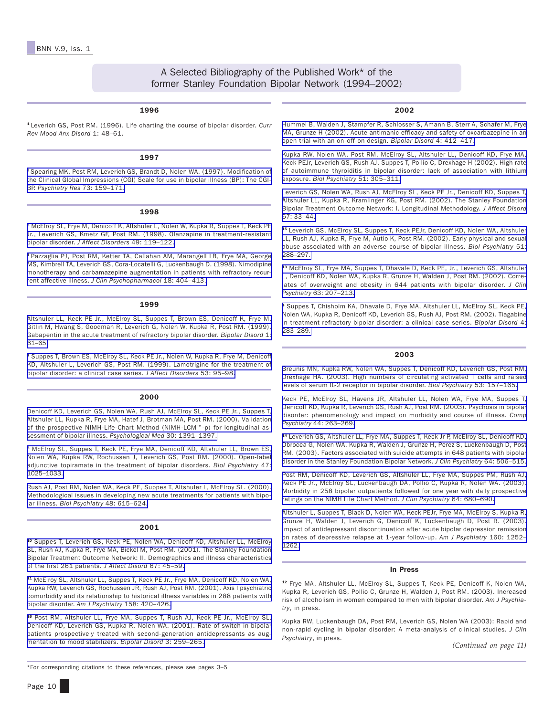## A Selected Bibliography of the Published Work\* of the former Stanley Foundation Bipolar Network (1994–2002)

#### 1996

#### <sup>1</sup> Leverich GS, Post RM. (1996). Life charting the course of bipolar disorder. *Curr Rev Mood Anx Disord* 1: 48–61.

#### 1997

<sup>2</sup> [Spearing MK, Post RM, Leverich GS, Brandt D, Nolen WA. \(1997\). Modification of](http://www.ncbi.nlm.nih.gov/entrez/query.fcgi?cmd=Retrieve&db=PubMed&list_uids=9481807&dopt=Abstract) [the Clinical Global Impressions \(CGI\) Scale for use in bipolar illness \(BP\): The CGI-](http://www.ncbi.nlm.nih.gov/entrez/query.fcgi?cmd=Retrieve&db=PubMed&list_uids=9481807&dopt=Abstract)BP. *Psychiatry Res* [73: 159–171.](http://www.ncbi.nlm.nih.gov/entrez/query.fcgi?cmd=Retrieve&db=PubMed&list_uids=9481807&dopt=Abstract)

#### 1998

<sup>5</sup> [McElroy SL, Frye M, Denicoff K, Altshuler L, Nolen W, Kupka R, Suppes T, Keck PE](http://www.ncbi.nlm.nih.gov/entrez/query.fcgi?cmd=Retrieve&db=PubMed&list_uids=9609675&dopt=Abstract) [Jr., Leverich GS, Kmetz GF, Post RM. \(1998\). Olanzapine in treatment-resistant](http://www.ncbi.nlm.nih.gov/entrez/query.fcgi?cmd=Retrieve&db=PubMed&list_uids=9609675&dopt=Abstract) bipolar disorder. *[J Affect Disorders](http://www.ncbi.nlm.nih.gov/entrez/query.fcgi?cmd=Retrieve&db=PubMed&list_uids=9609675&dopt=Abstract)* 49: 119–122.

<sup>3</sup> [Pazzaglia PJ, Post RM, Ketter TA, Callahan AM, Marangell LB, Frye MA, George](http://www.ncbi.nlm.nih.gov/entrez/query.fcgi?cmd=Retrieve&db=PubMed&list_uids=9790159&dopt=Abstract) [MS, Kimbrell TA, Leverich GS, Cora-Locatelli G, Luckenbaugh D. \(1998\). Nimodipine](http://www.ncbi.nlm.nih.gov/entrez/query.fcgi?cmd=Retrieve&db=PubMed&list_uids=9790159&dopt=Abstract) monotherapy and carbamazepine augmentation in patients with refractory recurrent affective illness. *[J Clin Psychopharmacol](http://www.ncbi.nlm.nih.gov/entrez/query.fcgi?cmd=Retrieve&db=PubMed&list_uids=9790159&dopt=Abstract)* 18: 404–413.

#### 1999

[Altshuler LL, Keck PE Jr., McElroy SL, Suppes T, Brown ES, Denicoff K, Frye M,](http://www.ncbi.nlm.nih.gov/entrez/query.fcgi?cmd=Retrieve&db=PubMed&list_uids=11256659&dopt=Abstract) [Gitlin M, Hwang S, Goodman R, Leverich G, Nolen W, Kupka R, Post RM. \(1999\).](http://www.ncbi.nlm.nih.gov/entrez/query.fcgi?cmd=Retrieve&db=PubMed&list_uids=11256659&dopt=Abstract) Gabapentin in the acute treatment of refractory bipolar disorder. *Bipolar Disord* 1: [61–65.](http://www.ncbi.nlm.nih.gov/entrez/query.fcgi?cmd=Retrieve&db=PubMed&list_uids=11256659&dopt=Abstract)

<sup>7</sup> [Suppes T, Brown ES, McElroy SL, Keck PE Jr., Nolen W, Kupka R, Frye M, Denicoff](http://www.ncbi.nlm.nih.gov/entrez/query.fcgi?cmd=Retrieve&db=PubMed&list_uids=10363672&dopt=Abstract) [KD, Altshuler L, Leverich GS, Post RM. \(1999\). Lamotrigine for the treatment of](http://www.ncbi.nlm.nih.gov/entrez/query.fcgi?cmd=Retrieve&db=PubMed&list_uids=10363672&dopt=Abstract) [bipolar disorder: a clinical case series.](http://www.ncbi.nlm.nih.gov/entrez/query.fcgi?cmd=Retrieve&db=PubMed&list_uids=10363672&dopt=Abstract) *J Affect Disorders* 53: 95–98.

#### 2000

[Denicoff KD, Leverich GS, Nolen WA, Rush AJ, McElroy SL, Keck PE Jr., Suppes T,](http://www.ncbi.nlm.nih.gov/entrez/query.fcgi?cmd=Retrieve&db=PubMed&list_uids=11097079&dopt=Abstract) [Altshuler LL, Kupka R, Frye MA, Hatef J, Brotman MA, Post RM. \(2000\). Validation](http://www.ncbi.nlm.nih.gov/entrez/query.fcgi?cmd=Retrieve&db=PubMed&list_uids=11097079&dopt=Abstract) of the prospective NIMH-Life-Chart Method (NIMH-LCM™-p) for longitudinal as[sessment of bipolar illness.](http://www.ncbi.nlm.nih.gov/entrez/query.fcgi?cmd=Retrieve&db=PubMed&list_uids=11097079&dopt=Abstract) *Psychological Med* 30: 1391–1397.

<sup>8</sup> [McElroy SL, Suppes T, Keck PE, Frye MA, Denicoff KD, Altshuler LL, Brown ES,](http://www.ncbi.nlm.nih.gov/entrez/query.fcgi?cmd=Retrieve&db=PubMed&list_uids=10862801&dopt=Abstract) [Nolen WA, Kupka RW, Rochussen J, Leverich GS, Post RM. \(2000\). Open-label](http://www.ncbi.nlm.nih.gov/entrez/query.fcgi?cmd=Retrieve&db=PubMed&list_uids=10862801&dopt=Abstract) adjunctive topiramate in the treatment of bipolar disorders. *Biol Psychiatry* 47: [1025–1033.](http://www.ncbi.nlm.nih.gov/entrez/query.fcgi?cmd=Retrieve&db=PubMed&list_uids=10862801&dopt=Abstract)

[Rush AJ, Post RM, Nolen WA, Keck PE, Suppes T, Altshuler L, McElroy SL. \(2000\).](http://www.ncbi.nlm.nih.gov/entrez/query.fcgi?cmd=Retrieve&db=PubMed&list_uids=11018232&dopt=Abstract) [Methodological issues in developing new acute treatments for patients with bipo](http://www.ncbi.nlm.nih.gov/entrez/query.fcgi?cmd=Retrieve&db=PubMed&list_uids=11018232&dopt=Abstract)lar illness. *[Biol Psychiatry](http://www.ncbi.nlm.nih.gov/entrez/query.fcgi?cmd=Retrieve&db=PubMed&list_uids=11018232&dopt=Abstract)* 48: 615–624.

#### 2001

<sup>10</sup> [Suppes T, Leverich GS, Keck PE, Nolen WA, Denicoff KD, Altshuler LL, McElroy](http://www.ncbi.nlm.nih.gov/entrez/query.fcgi?cmd=Retrieve&db=PubMed&list_uids=11869752&dopt=Abstract) [SL, Rush AJ, Kupka R, Frye MA, Bickel M, Post RM. \(2001\). The Stanley Foundation](http://www.ncbi.nlm.nih.gov/entrez/query.fcgi?cmd=Retrieve&db=PubMed&list_uids=11869752&dopt=Abstract) Bipolar Treatment Outcome Network: II. Demographics and illness characteristics [of the first 261 patients](http://www.ncbi.nlm.nih.gov/entrez/query.fcgi?cmd=Retrieve&db=PubMed&list_uids=11869752&dopt=Abstract)*. J Affect Disord* 67: 45–59.

<sup>11</sup> [McElroy SL, Altshuler LL, Suppes T, Keck PE Jr., Frye MA, Denicoff KD, Nolen WA,](http://www.ncbi.nlm.nih.gov/entrez/query.fcgi?cmd=Retrieve&db=PubMed&list_uids=11229983&dopt=Abstract) [Kupka RW, Leverich GS, Rochussen JR, Rush AJ, Post RM. \(2001\). Axis I psychiatric](http://www.ncbi.nlm.nih.gov/entrez/query.fcgi?cmd=Retrieve&db=PubMed&list_uids=11229983&dopt=Abstract) comorbidity and its relationship to historical illness variables in 288 patients with [bipolar disorder.](http://www.ncbi.nlm.nih.gov/entrez/query.fcgi?cmd=Retrieve&db=PubMed&list_uids=11229983&dopt=Abstract) *Am J Psychiatry* 158: 420–426.

<sup>16</sup> [Post RM, Altshuler LL, Frye MA, Suppes T, Rush AJ, Keck PE Jr., McElroy SL,](http://www.ncbi.nlm.nih.gov/entrez/query.fcgi?cmd=Retrieve&db=PubMed&list_uids=11912569&dopt=Abstract) [Denicoff KD, Leverich GS, Kupka R, Nolen WA. \(2001\). Rate of switch in bipolar](http://www.ncbi.nlm.nih.gov/entrez/query.fcgi?cmd=Retrieve&db=PubMed&list_uids=11912569&dopt=Abstract) patients prospectively treated with second-generation antidepressants as aug[mentation to mood stabilizers.](http://www.ncbi.nlm.nih.gov/entrez/query.fcgi?cmd=Retrieve&db=PubMed&list_uids=11912569&dopt=Abstract) *Bipolar Disord* 3: 259–265.

\*For corresponding citations to these references, please see pages 3–5

#### 2002

[Hummel B, Walden J, Stampfer R, Schlosser S, Amann B, Sterr A, Schafer M, Frye](http://www.ncbi.nlm.nih.gov/entrez/query.fcgi?cmd=Retrieve&db=PubMed&list_uids=12519102&dopt=Abstract) [MA, Grunze H \(2002\). Acute antimanic efficacy and safety of oxcarbazepine in an](http://www.ncbi.nlm.nih.gov/entrez/query.fcgi?cmd=Retrieve&db=PubMed&list_uids=12519102&dopt=Abstract) [open trial with an on-off-on design.](http://www.ncbi.nlm.nih.gov/entrez/query.fcgi?cmd=Retrieve&db=PubMed&list_uids=12519102&dopt=Abstract) *Bipolar Disord* 4: 412–417.

[Kupka RW, Nolen WA, Post RM, McElroy SL, Altshuler LL, Denicoff KD, Frye MA,](http://www.ncbi.nlm.nih.gov/entrez/query.fcgi?cmd=Retrieve&db=PubMed&list_uids=11958781&dopt=Abstract) [Keck PEJr, Leverich GS, Rush AJ, Suppes T, Pollio C, Drexhage H \(2002\). High rate](http://www.ncbi.nlm.nih.gov/entrez/query.fcgi?cmd=Retrieve&db=PubMed&list_uids=11958781&dopt=Abstract) of autoimmune thyroiditis in bipolar disorder: lack of association with lithium exposure. *Biol Psychiatry* [51: 305–311.](http://www.ncbi.nlm.nih.gov/entrez/query.fcgi?cmd=Retrieve&db=PubMed&list_uids=11958781&dopt=Abstract)

[Leverich GS, Nolen WA, Rush AJ, McElroy SL, Keck PE Jr., Denicoff KD, Suppes T,](http://www.ncbi.nlm.nih.gov/entrez/query.fcgi?cmd=Retrieve&db=PubMed&list_uids=11869751&dopt=Abstract) [Altshuler LL, Kupka R, Kramlinger KG, Post RM. \(2002\). The Stanley Foundation](http://www.ncbi.nlm.nih.gov/entrez/query.fcgi?cmd=Retrieve&db=PubMed&list_uids=11869751&dopt=Abstract) Bipolar Treatment Outcome Network: I. Longitudinal Methodology. *J Affect Disord* [67: 33–44.](http://www.ncbi.nlm.nih.gov/entrez/query.fcgi?cmd=Retrieve&db=PubMed&list_uids=11869751&dopt=Abstract)

<sup>15</sup> [Leverich GS, McElroy SL, Suppes T, Keck PEJr, Denicoff KD, Nolen WA, Altshuler](http://www.ncbi.nlm.nih.gov/entrez/query.fcgi?cmd=Retrieve&db=PubMed&list_uids=11958779&dopt=Abstract ) [LL, Rush AJ, Kupka R, Frye M, Autio K, Post RM. \(2002\). Early physical and sexual](http://www.ncbi.nlm.nih.gov/entrez/query.fcgi?cmd=Retrieve&db=PubMed&list_uids=11958779&dopt=Abstract ) abuse associated with an adverse course of bipolar illness. *Biol Psychiatry* 51: [288–297.](http://www.ncbi.nlm.nih.gov/entrez/query.fcgi?cmd=Retrieve&db=PubMed&list_uids=11958779&dopt=Abstract )

<sup>13</sup> [McElroy SL, Frye MA, Suppes T, Dhavale D, Keck PE, Jr., Leverich GS, Altshuler](http://www.ncbi.nlm.nih.gov/entrez/query.fcgi?cmd=Retrieve&db=PubMed&list_uids=11926719&dopt=Abstract) [L, Denicoff KD, Nolen WA, Kupka R, Grunze H, Walden J, Post RM. \(2002\). Corre](http://www.ncbi.nlm.nih.gov/entrez/query.fcgi?cmd=Retrieve&db=PubMed&list_uids=11926719&dopt=Abstract)lates of overweight and obesity in 644 patients with bipolar disorder. *J Clin Psychiatry* [63: 207–213.](http://www.ncbi.nlm.nih.gov/entrez/query.fcgi?cmd=Retrieve&db=PubMed&list_uids=11926719&dopt=Abstract)

<sup>4</sup> [Suppes T, Chisholm KA, Dhavale D, Frye MA, Altshuler LL, McElroy SL, Keck PE,](http://www.ncbi.nlm.nih.gov/entrez/query.fcgi?cmd=Retrieve&db=PubMed&list_uids=12479659&dopt=Abstract) [Nolen WA, Kupka R, Denicoff KD, Leverich GS, Rush AJ, Post RM. \(2002\). Tiagabine](http://www.ncbi.nlm.nih.gov/entrez/query.fcgi?cmd=Retrieve&db=PubMed&list_uids=12479659&dopt=Abstract) in treatment refractory bipolar disorder: a clinical case series. *Bipolar Disord* 4: [283–289.](http://www.ncbi.nlm.nih.gov/entrez/query.fcgi?cmd=Retrieve&db=PubMed&list_uids=12479659&dopt=Abstract)

#### 2003

[Breunis MN, Kupka RW, Nolen WA, Suppes T, Denicoff KD, Leverich GS, Post RM,](http://www.ncbi.nlm.nih.gov/entrez/query.fcgi?cmd=Retrieve&db=PubMed&list_uids=12547472&dopt=Abstract) [Drexhage HA. \(2003\). High numbers of circulating activated T cells and raised](http://www.ncbi.nlm.nih.gov/entrez/query.fcgi?cmd=Retrieve&db=PubMed&list_uids=12547472&dopt=Abstract) [levels of serum IL-2 receptor in bipolar disorder.](http://www.ncbi.nlm.nih.gov/entrez/query.fcgi?cmd=Retrieve&db=PubMed&list_uids=12547472&dopt=Abstract) *Biol Psychiatry* 53: 157–165.

[Keck PE, McElroy SL, Havens JR, Altshuler LL, Nolen WA, Frye MA, Suppes T,](http://www.ncbi.nlm.nih.gov/entrez/query.fcgi?cmd=Retrieve&db=PubMed&list_uids=12923703&dopt=Abstract) [Denicoff KD, Kupka R, Leverich GS, Rush AJ, Post RM. \(2003\). Psychosis in bipolar](http://www.ncbi.nlm.nih.gov/entrez/query.fcgi?cmd=Retrieve&db=PubMed&list_uids=12923703&dopt=Abstract) disorder: phenomenology and impact on morbidity and course of illness. *Comp Psychiatry* [44: 263–269.](http://www.ncbi.nlm.nih.gov/entrez/query.fcgi?cmd=Retrieve&db=PubMed&list_uids=12923703&dopt=Abstract)

<sup>14</sup> [Leverich GS, Altshuler LL, Frye MA, Suppes T, Keck Jr P, McElroy SL, Denicoff KD,](http://www.ncbi.nlm.nih.gov/entrez/query.fcgi?cmd=Retrieve&db=PubMed&list_uids=12755652&dopt=Abstract) Obrocea G, Nolen WA, Kupka R, Walden J, Grunze H, Perez S, Luckenbaugh D, Post [RM. \(2003\). Factors associated with suicide attempts in 648 patients with bipolar](http://www.ncbi.nlm.nih.gov/entrez/query.fcgi?cmd=Retrieve&db=PubMed&list_uids=12755652&dopt=Abstract) [disorder in the Stanley Foundation Bipolar Network.](http://www.ncbi.nlm.nih.gov/entrez/query.fcgi?cmd=Retrieve&db=PubMed&list_uids=12755652&dopt=Abstract) *J Clin Psychiatry* 64: 506–515.

[Post RM, Denicoff KD, Leverich GS, Altshuler LL, Frye MA, Suppes PM, Rush AJ,](http://www.ncbi.nlm.nih.gov/entrez/query.fcgi?cmd=Retrieve&db=PubMed&list_uids=12823083&dopt=Abstract) Keck PE Jr., McElroy SL, Luckenbaugh DA, Pollio C, Kupka R, Nolen WA. (2003). [Morbidity in 258 bipolar outpatients followed for one year with daily prospective](http://www.ncbi.nlm.nih.gov/entrez/query.fcgi?cmd=Retrieve&db=PubMed&list_uids=12823083&dopt=Abstract) [ratings on the NIMH Life Chart Method.](http://www.ncbi.nlm.nih.gov/entrez/query.fcgi?cmd=Retrieve&db=PubMed&list_uids=12823083&dopt=Abstract) *J Clin Psychiatry* 64: 680–690.

[Altshuler L, Suppes T, Black D, Nolen WA, Keck PEJr, Frye MA, McElroy S, Kupka R,](http://www.ncbi.nlm.nih.gov/entrez/query.fcgi?cmd=Retrieve&db=PubMed&list_uids=12832239&dopt=Abstract) [Grunze H, Walden J, Leverich G, Denicoff K, Luckenbaugh D, Post R. \(2003\).](http://www.ncbi.nlm.nih.gov/entrez/query.fcgi?cmd=Retrieve&db=PubMed&list_uids=12832239&dopt=Abstract) Impact of antidepressant discontinuation after acute bipolar depression remission on rates of depressive relapse at 1-year follow-up. *Am J Psychiatry* 160: 1252– [1262.](http://www.ncbi.nlm.nih.gov/entrez/query.fcgi?cmd=Retrieve&db=PubMed&list_uids=12832239&dopt=Abstract)

#### In Press

<sup>12</sup> Frye MA, Altshuler LL, McElroy SL, Suppes T, Keck PE, Denicoff K, Nolen WA, Kupka R, Leverich GS, Pollio C, Grunze H, Walden J, Post RM. (2003). Increased risk of alcoholism in women compared to men with bipolar disorder. *Am J Psychiatry*, in press.

Kupka RW, Luckenbaugh DA, Post RM, Leverich GS, Nolen WA (2003): Rapid and non-rapid cycling in bipolar disorder: A meta-analysis of clinical studies. *J Clin Psychiatry*, in press.

*(Continued on page 11)*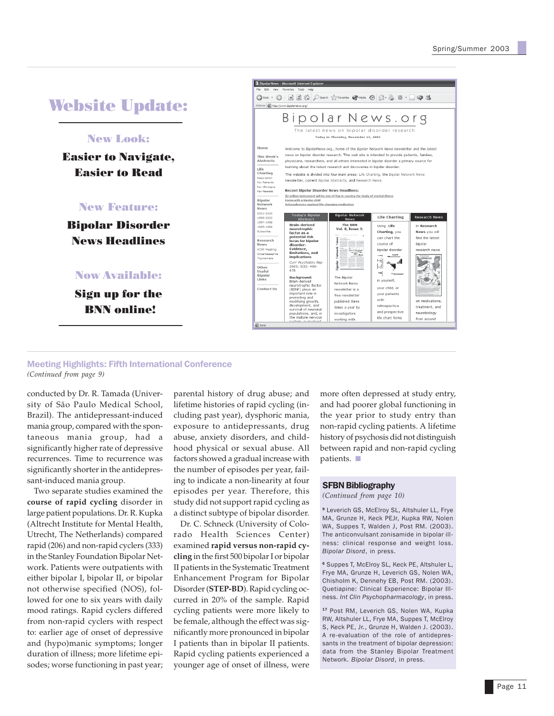## Website Update:

## New Look:

Easier to Navigate, Easier to Read

#### New Feature:

Bipolar Disorder News Headlines

## Now Available:

Sign up for the BNN online!



#### Meeting Highlights: Fifth International Conference *(Continued from page 9)*

conducted by Dr. R. Tamada (University of São Paulo Medical School, Brazil). The antidepressant-induced mania group, compared with the spontaneous mania group, had a significantly higher rate of depressive recurrences. Time to recurrence was significantly shorter in the antidepressant-induced mania group.

 Two separate studies examined the **course of rapid cycling** disorder in large patient populations. Dr. R. Kupka (Altrecht Institute for Mental Health, Utrecht, The Netherlands) compared rapid (206) and non-rapid cyclers (333) in the Stanley Foundation Bipolar Network. Patients were outpatients with either bipolar I, bipolar II, or bipolar not otherwise specified (NOS), followed for one to six years with daily mood ratings. Rapid cyclers differed from non-rapid cyclers with respect to: earlier age of onset of depressive and (hypo)manic symptoms; longer duration of illness; more lifetime episodes; worse functioning in past year;

parental history of drug abuse; and lifetime histories of rapid cycling (including past year), dysphoric mania, exposure to antidepressants, drug abuse, anxiety disorders, and childhood physical or sexual abuse. All factors showed a gradual increase with the number of episodes per year, failing to indicate a non-linearity at four episodes per year. Therefore, this study did not support rapid cycling as a distinct subtype of bipolar disorder.

 Dr. C. Schneck (University of Colorado Health Sciences Center) examined **rapid versus non-rapid cycling** in the first 500 bipolar I or bipolar II patients in the Systematic Treatment Enhancement Program for Bipolar Disorder (**STEP-BD**). Rapid cycling occurred in 20% of the sample. Rapid cycling patients were more likely to be female, although the effect was significantly more pronounced in bipolar I patients than in bipolar II patients. Rapid cycling patients experienced a younger age of onset of illness, were

more often depressed at study entry, and had poorer global functioning in the year prior to study entry than non-rapid cycling patients. A lifetime history of psychosis did not distinguish between rapid and non-rapid cycling patients. ■

#### SFBN Bibliography

*(Continued from page 10)*

<sup>9</sup> Leverich GS, McElroy SL, Altshuler LL, Frye MA, Grunze H, Keck PEJr, Kupka RW, Nolen WA, Suppes T, Walden J, Post RM. (2003). The anticonvulsant zonisamide in bipolar illness: clinical response and weight loss. *Bipolar Disord*, in press.

<sup>6</sup> Suppes T, McElroy SL, Keck PE, Altshuler L, Frye MA, Grunze H, Leverich GS, Nolen WA, Chisholm K, Dennehy EB, Post RM. (2003). Quetiapine: Clinical Experience: Bipolar Illness. *Int Clin Psychopharmacology*, in press.

<sup>17</sup> Post RM, Leverich GS, Nolen WA, Kupka RW, Altshuler LL, Frye MA, Suppes T, McElroy S, Keck PE, Jr., Grunze H, Walden J. (2003). A re-evaluation of the role of antidepressants in the treatment of bipolar depression: data from the Stanley Bipolar Treatment Network. *Bipolar Disord*, in press.